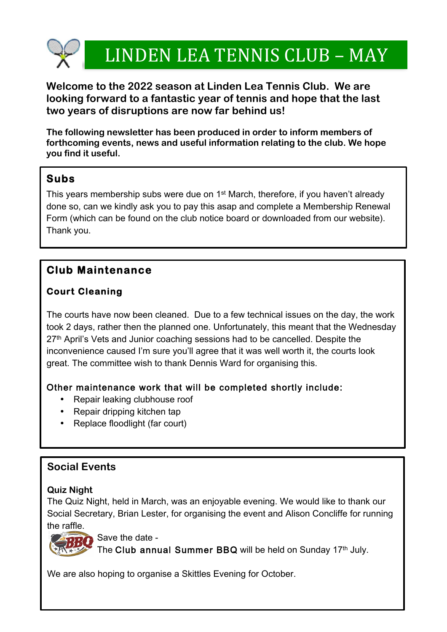

1

2

# LINDEN LEA TENNIS CLUB – MAY

**Welcome to the 2022 season at Linden Lea Tennis Club. We are looking forward to a fantastic year of tennis and hope that the last two years of disruptions are now far behind us!**

**The following newsletter has been produced in order to inform members of forthcoming events, news and useful information relating to the club. We hope you find it useful.** 

## **Subs**

This years membership subs were due on 1st March, therefore, if you haven't already done so, can we kindly ask you to pay this asap and complete a Membership Renewal Form (which can be found on the club notice board or downloaded from our website). Thank you.

## **Club Maintenance**

## **Court Cleaning**

The courts have now been cleaned. Due to a few technical issues on the day, the work took 2 days, rather then the planned one. Unfortunately, this meant that the Wednesday 27<sup>th</sup> April's Vets and Junior coaching sessions had to be cancelled. Despite the inconvenience caused I'm sure you'll agree that it was well worth it, the courts look great. The committee wish to thank Dennis Ward for organising this.

## Other maintenance work that will be completed shortly include:

- Repair leaking clubhouse roof
- Repair dripping kitchen tap
- Replace floodlight (far court)

## **Social Events**

#### **Quiz Night**

The Quiz Night, held in March, was an enjoyable evening. We would like to thank our Social Secretary, Brian Lester, for organising the event and Alison Concliffe for running the raffle.



Save the date -

The Club annual Summer BBQ will be held on Sunday 17th July.

We are also hoping to organise a Skittles Evening for October.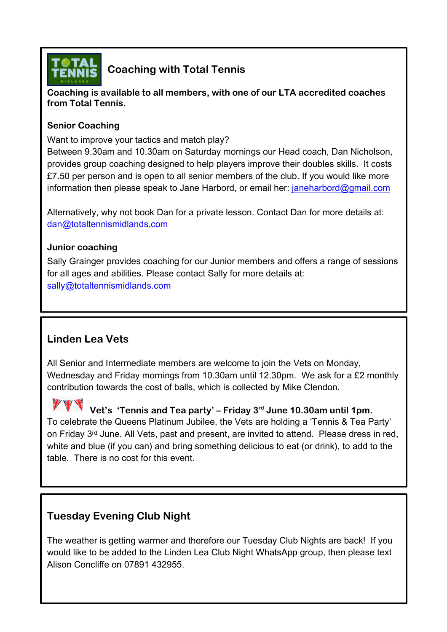

## **Coaching with Total Tennis**

**Coaching is available to all members, with one of our LTA accredited coaches from Total Tennis.** 

#### **Senior Coaching**

Want to improve your tactics and match play?

Between 9.30am and 10.30am on Saturday mornings our Head coach, Dan Nicholson, provides group coaching designed to help players improve their doubles skills. It costs £7.50 per person and is open to all senior members of the club. If you would like more information then please speak to Jane Harbord, or email her: janeharbord@gmail.com

Alternatively, why not book Dan for a private lesson. Contact Dan for more details at: dan@totaltennismidlands.com

#### **Junior coaching**

Sally Grainger provides coaching for our Junior members and offers a range of sessions for all ages and abilities. Please contact Sally for more details at: sally@totaltennismidlands.com

## **Linden Lea Vets**

All Senior and Intermediate members are welcome to join the Vets on Monday, Wednesday and Friday mornings from 10.30am until 12.30pm. We ask for a £2 monthly contribution towards the cost of balls, which is collected by Mike Clendon.

 **Vet's 'Tennis and Tea party' – Friday 3rd June 10.30am until 1pm.**  To celebrate the Queens Platinum Jubilee, the Vets are holding a 'Tennis & Tea Party' on Friday 3<sup>rd</sup> June. All Vets, past and present, are invited to attend. Please dress in red, white and blue (if you can) and bring something delicious to eat (or drink), to add to the table. There is no cost for this event.

## **Tuesday Evening Club Night**

The weather is getting warmer and therefore our Tuesday Club Nights are back! If you would like to be added to the Linden Lea Club Night WhatsApp group, then please text Alison Concliffe on 07891 432955.